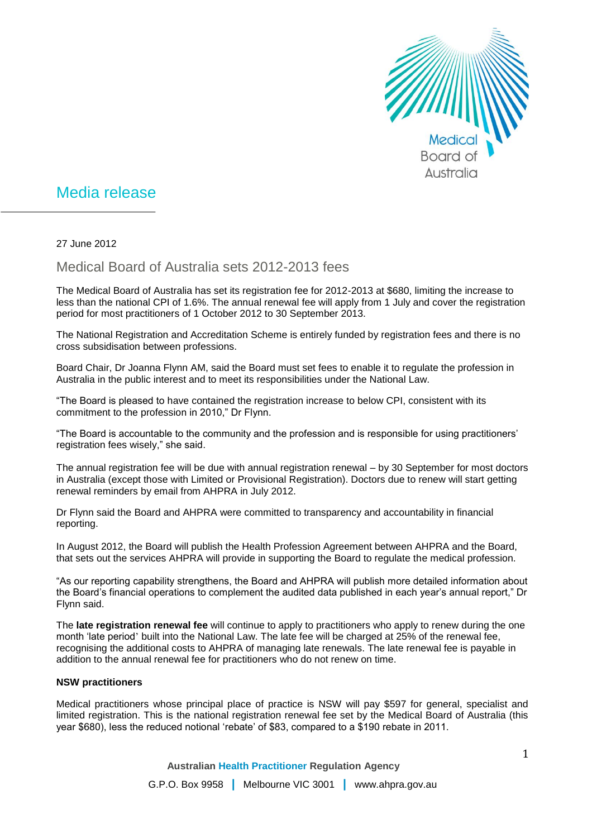

## Media release

27 June 2012

Medical Board of Australia sets 2012-2013 fees

The Medical Board of Australia has set its registration fee for 2012-2013 at \$680, limiting the increase to less than the national CPI of 1.6%. The annual renewal fee will apply from 1 July and cover the registration period for most practitioners of 1 October 2012 to 30 September 2013.

The National Registration and Accreditation Scheme is entirely funded by registration fees and there is no cross subsidisation between professions.

Board Chair, Dr Joanna Flynn AM, said the Board must set fees to enable it to regulate the profession in Australia in the public interest and to meet its responsibilities under the National Law.

"The Board is pleased to have contained the registration increase to below CPI, consistent with its commitment to the profession in 2010," Dr Flynn.

"The Board is accountable to the community and the profession and is responsible for using practitioners' registration fees wisely," she said.

The annual registration fee will be due with annual registration renewal – by 30 September for most doctors in Australia (except those with Limited or Provisional Registration). Doctors due to renew will start getting renewal reminders by email from AHPRA in July 2012.

Dr Flynn said the Board and AHPRA were committed to transparency and accountability in financial reporting.

In August 2012, the Board will publish the Health Profession Agreement between AHPRA and the Board, that sets out the services AHPRA will provide in supporting the Board to regulate the medical profession.

"As our reporting capability strengthens, the Board and AHPRA will publish more detailed information about the Board's financial operations to complement the audited data published in each year's annual report," Dr Flynn said.

The **late registration renewal fee** will continue to apply to practitioners who apply to renew during the one month 'late period' built into the National Law. The late fee will be charged at 25% of the renewal fee, recognising the additional costs to AHPRA of managing late renewals. The late renewal fee is payable in addition to the annual renewal fee for practitioners who do not renew on time.

## **NSW practitioners**

Medical practitioners whose principal place of practice is NSW will pay \$597 for general, specialist and limited registration. This is the national registration renewal fee set by the Medical Board of Australia (this year \$680), less the reduced notional 'rebate' of \$83, compared to a \$190 rebate in 2011.